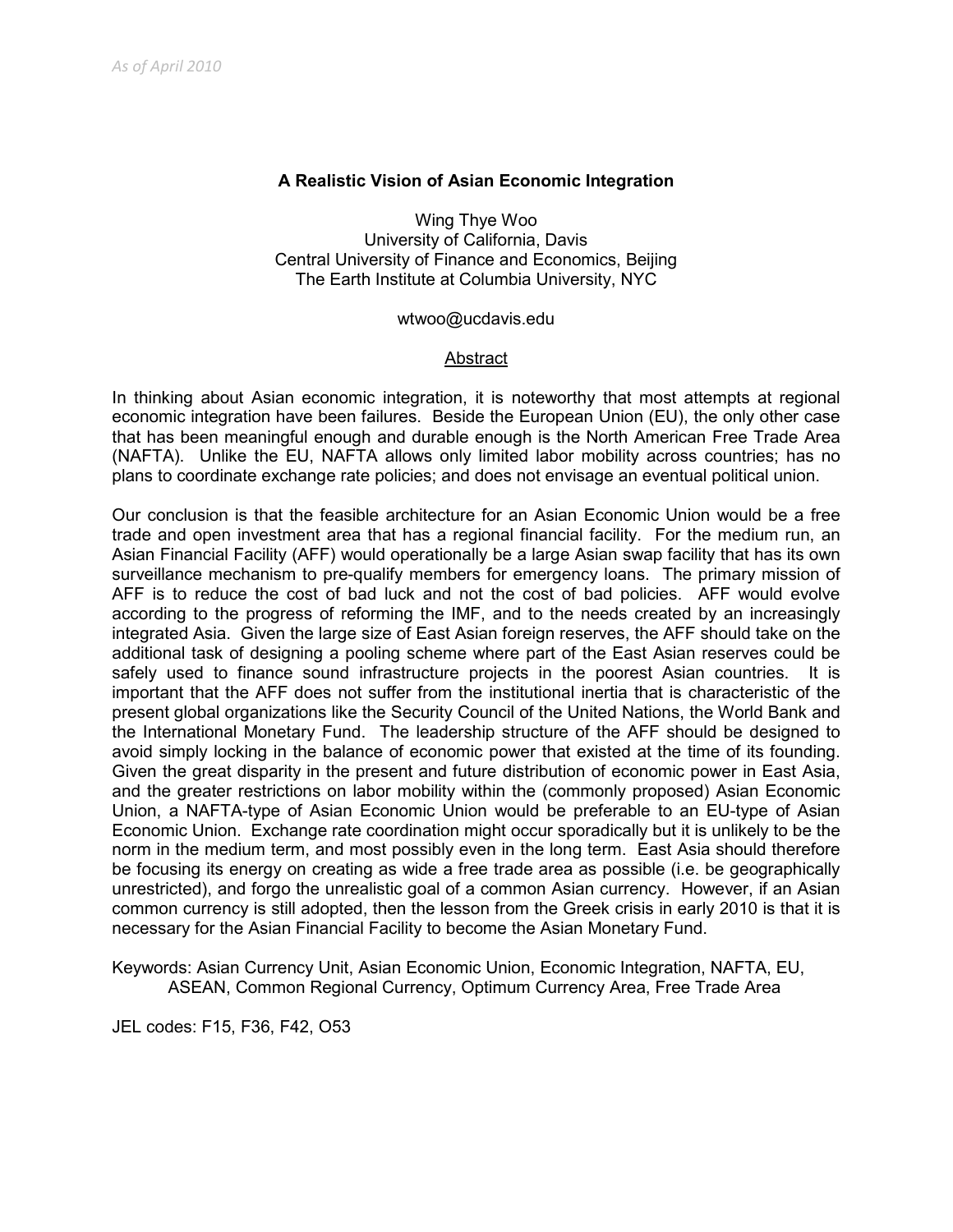#### **A Realistic Vision of Asian Economic Integration**

Wing Thye Woo University of California, Davis Central University of Finance and Economics, Beijing The Earth Institute at Columbia University, NYC

#### wtwoo@ucdavis.edu

#### Abstract

In thinking about Asian economic integration, it is noteworthy that most attempts at regional economic integration have been failures. Beside the European Union (EU), the only other case that has been meaningful enough and durable enough is the North American Free Trade Area (NAFTA). Unlike the EU, NAFTA allows only limited labor mobility across countries; has no plans to coordinate exchange rate policies; and does not envisage an eventual political union.

Our conclusion is that the feasible architecture for an Asian Economic Union would be a free trade and open investment area that has a regional financial facility. For the medium run, an Asian Financial Facility (AFF) would operationally be a large Asian swap facility that has its own surveillance mechanism to pre-qualify members for emergency loans. The primary mission of AFF is to reduce the cost of bad luck and not the cost of bad policies. AFF would evolve according to the progress of reforming the IMF, and to the needs created by an increasingly integrated Asia. Given the large size of East Asian foreign reserves, the AFF should take on the additional task of designing a pooling scheme where part of the East Asian reserves could be safely used to finance sound infrastructure projects in the poorest Asian countries. It is important that the AFF does not suffer from the institutional inertia that is characteristic of the present global organizations like the Security Council of the United Nations, the World Bank and the International Monetary Fund. The leadership structure of the AFF should be designed to avoid simply locking in the balance of economic power that existed at the time of its founding. Given the great disparity in the present and future distribution of economic power in East Asia, and the greater restrictions on labor mobility within the (commonly proposed) Asian Economic Union, a NAFTA-type of Asian Economic Union would be preferable to an EU-type of Asian Economic Union. Exchange rate coordination might occur sporadically but it is unlikely to be the norm in the medium term, and most possibly even in the long term. East Asia should therefore be focusing its energy on creating as wide a free trade area as possible (i.e. be geographically unrestricted), and forgo the unrealistic goal of a common Asian currency. However, if an Asian common currency is still adopted, then the lesson from the Greek crisis in early 2010 is that it is necessary for the Asian Financial Facility to become the Asian Monetary Fund.

Keywords: Asian Currency Unit, Asian Economic Union, Economic Integration, NAFTA, EU, ASEAN, Common Regional Currency, Optimum Currency Area, Free Trade Area

JEL codes: F15, F36, F42, O53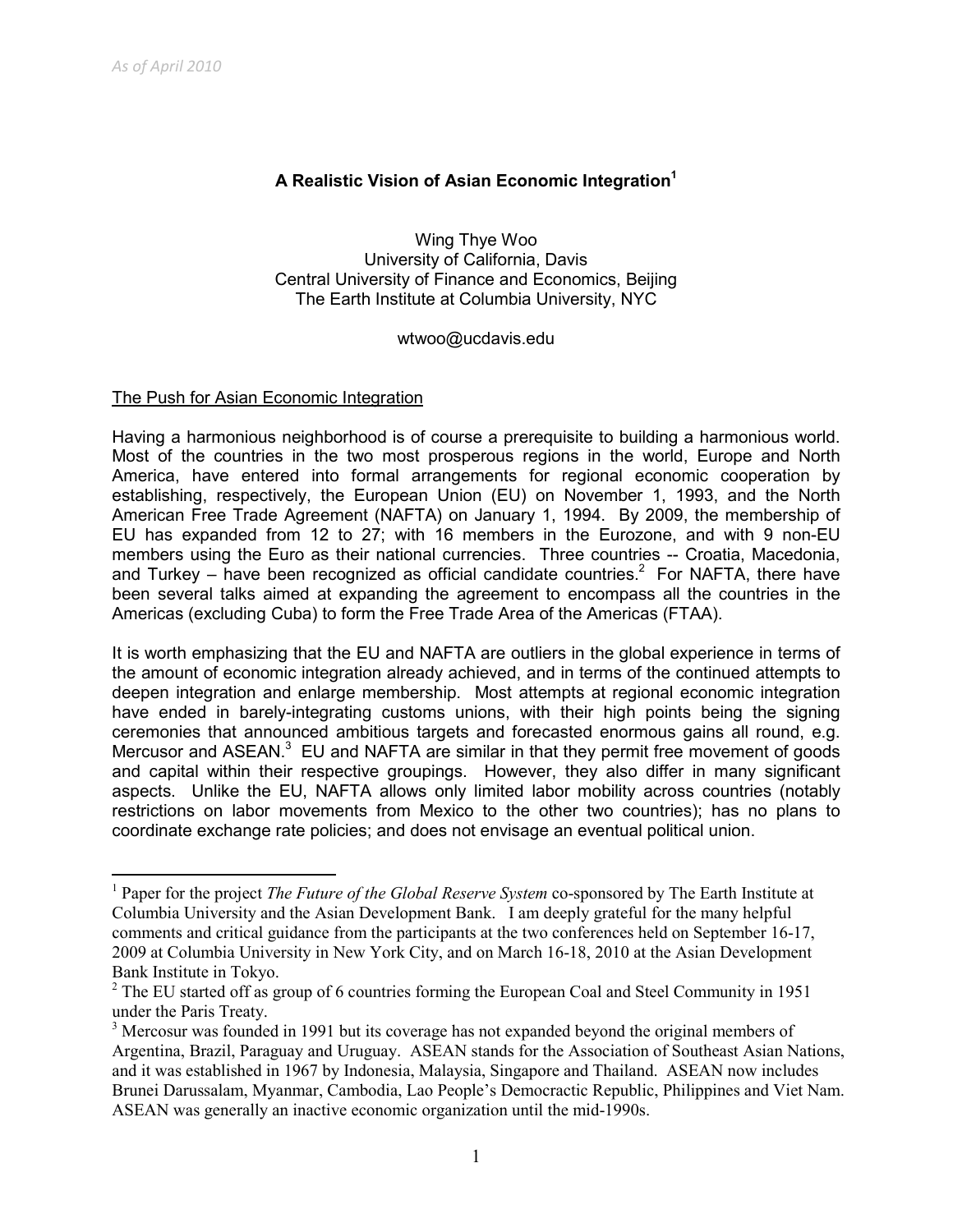$\overline{a}$ 

# **A Realistic Vision of Asian Economic Integration<sup>1</sup>**

Wing Thye Woo University of California, Davis Central University of Finance and Economics, Beijing The Earth Institute at Columbia University, NYC

wtwoo@ucdavis.edu

#### The Push for Asian Economic Integration

Having a harmonious neighborhood is of course a prerequisite to building a harmonious world. Most of the countries in the two most prosperous regions in the world, Europe and North America, have entered into formal arrangements for regional economic cooperation by establishing, respectively, the European Union (EU) on November 1, 1993, and the North American Free Trade Agreement (NAFTA) on January 1, 1994. By 2009, the membership of EU has expanded from 12 to 27; with 16 members in the Eurozone, and with 9 non-EU members using the Euro as their national currencies. Three countries -- Croatia, Macedonia, and Turkey – have been recognized as official candidate countries.<sup>2</sup> For NAFTA, there have been several talks aimed at expanding the agreement to encompass all the countries in the Americas (excluding Cuba) to form the Free Trade Area of the Americas (FTAA).

It is worth emphasizing that the EU and NAFTA are outliers in the global experience in terms of the amount of economic integration already achieved, and in terms of the continued attempts to deepen integration and enlarge membership. Most attempts at regional economic integration have ended in barely-integrating customs unions, with their high points being the signing ceremonies that announced ambitious targets and forecasted enormous gains all round, e.g. Mercusor and ASEAN.<sup>3</sup> EU and NAFTA are similar in that they permit free movement of goods and capital within their respective groupings. However, they also differ in many significant aspects. Unlike the EU, NAFTA allows only limited labor mobility across countries (notably restrictions on labor movements from Mexico to the other two countries); has no plans to coordinate exchange rate policies; and does not envisage an eventual political union.

<sup>&</sup>lt;sup>1</sup> Paper for the project *The Future of the Global Reserve System* co-sponsored by The Earth Institute at Columbia University and the Asian Development Bank. I am deeply grateful for the many helpful comments and critical guidance from the participants at the two conferences held on September 16-17, 2009 at Columbia University in New York City, and on March 16-18, 2010 at the Asian Development Bank Institute in Tokyo.

 $2^2$  The EU started off as group of 6 countries forming the European Coal and Steel Community in 1951 under the Paris Treaty.

<sup>&</sup>lt;sup>3</sup> Mercosur was founded in 1991 but its coverage has not expanded beyond the original members of Argentina, Brazil, Paraguay and Uruguay. ASEAN stands for the Association of Southeast Asian Nations, and it was established in 1967 by Indonesia, Malaysia, Singapore and Thailand. ASEAN now includes Brunei Darussalam, Myanmar, Cambodia, Lao People's Democractic Republic, Philippines and Viet Nam. ASEAN was generally an inactive economic organization until the mid-1990s.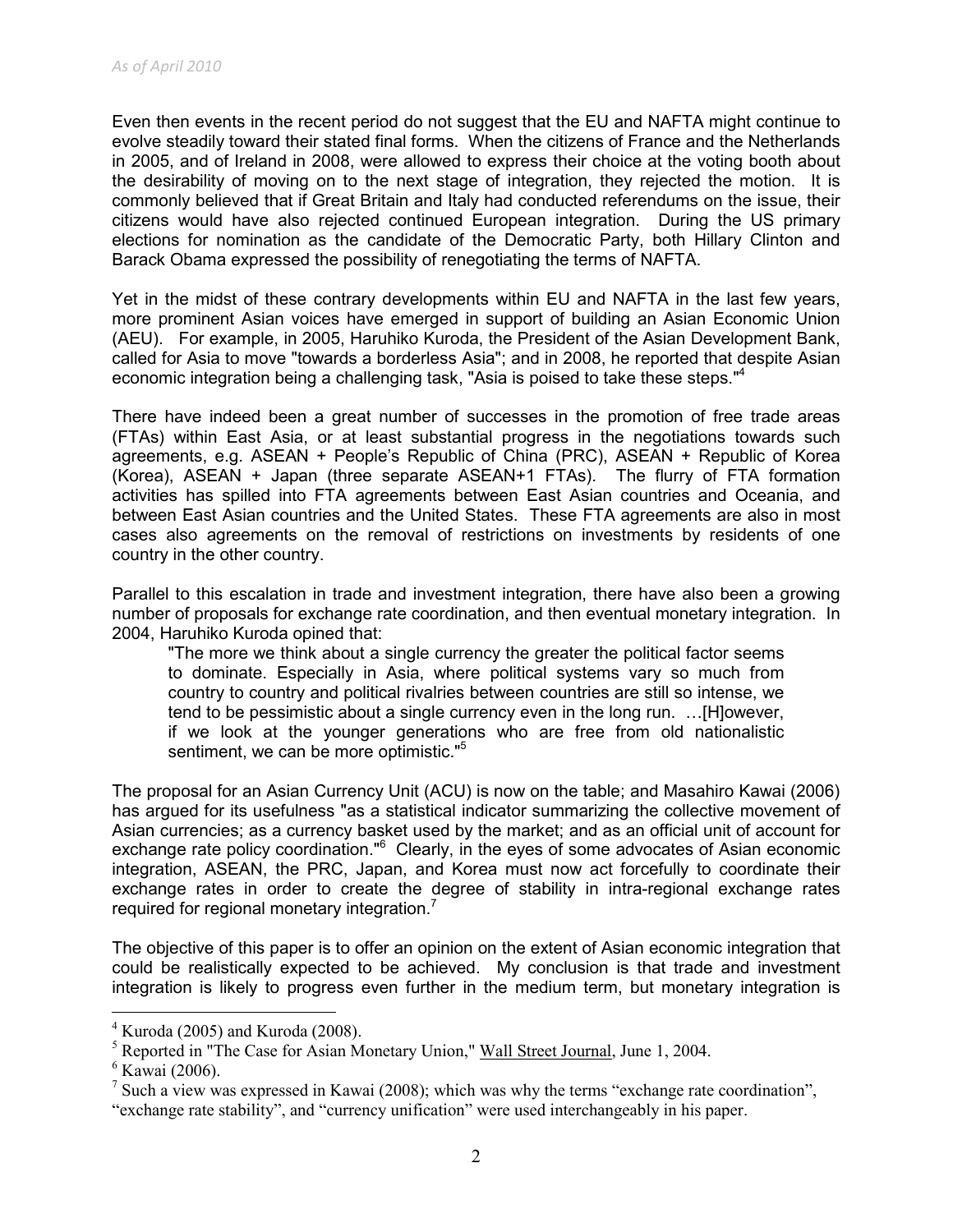Even then events in the recent period do not suggest that the EU and NAFTA might continue to evolve steadily toward their stated final forms. When the citizens of France and the Netherlands in 2005, and of Ireland in 2008, were allowed to express their choice at the voting booth about the desirability of moving on to the next stage of integration, they rejected the motion. It is commonly believed that if Great Britain and Italy had conducted referendums on the issue, their citizens would have also rejected continued European integration. During the US primary elections for nomination as the candidate of the Democratic Party, both Hillary Clinton and Barack Obama expressed the possibility of renegotiating the terms of NAFTA.

Yet in the midst of these contrary developments within EU and NAFTA in the last few years, more prominent Asian voices have emerged in support of building an Asian Economic Union (AEU). For example, in 2005, Haruhiko Kuroda, the President of the Asian Development Bank, called for Asia to move "towards a borderless Asia"; and in 2008, he reported that despite Asian economic integration being a challenging task, "Asia is poised to take these steps."<sup>4</sup>

There have indeed been a great number of successes in the promotion of free trade areas (FTAs) within East Asia, or at least substantial progress in the negotiations towards such agreements, e.g. ASEAN + People's Republic of China (PRC), ASEAN + Republic of Korea (Korea), ASEAN + Japan (three separate ASEAN+1 FTAs). The flurry of FTA formation activities has spilled into FTA agreements between East Asian countries and Oceania, and between East Asian countries and the United States. These FTA agreements are also in most cases also agreements on the removal of restrictions on investments by residents of one country in the other country.

Parallel to this escalation in trade and investment integration, there have also been a growing number of proposals for exchange rate coordination, and then eventual monetary integration. In 2004, Haruhiko Kuroda opined that:

"The more we think about a single currency the greater the political factor seems to dominate. Especially in Asia, where political systems vary so much from country to country and political rivalries between countries are still so intense, we tend to be pessimistic about a single currency even in the long run. …[H]owever, if we look at the younger generations who are free from old nationalistic sentiment, we can be more optimistic."<sup>5</sup>

The proposal for an Asian Currency Unit (ACU) is now on the table; and Masahiro Kawai (2006) has argued for its usefulness "as a statistical indicator summarizing the collective movement of Asian currencies; as a currency basket used by the market; and as an official unit of account for exchange rate policy coordination."<sup>6</sup> Clearly, in the eyes of some advocates of Asian economic integration, ASEAN, the PRC, Japan, and Korea must now act forcefully to coordinate their exchange rates in order to create the degree of stability in intra-regional exchange rates required for regional monetary integration. $<sup>7</sup>$ </sup>

The objective of this paper is to offer an opinion on the extent of Asian economic integration that could be realistically expected to be achieved. My conclusion is that trade and investment integration is likely to progress even further in the medium term, but monetary integration is

 $4$  Kuroda (2005) and Kuroda (2008).

<sup>&</sup>lt;sup>5</sup> Reported in "The Case for Asian Monetary Union," Wall Street Journal, June 1, 2004.

<sup>6</sup> Kawai (2006).

<sup>&</sup>lt;sup>7</sup> Such a view was expressed in Kawai (2008); which was why the terms "exchange rate coordination",

<sup>&</sup>quot;exchange rate stability", and "currency unification" were used interchangeably in his paper.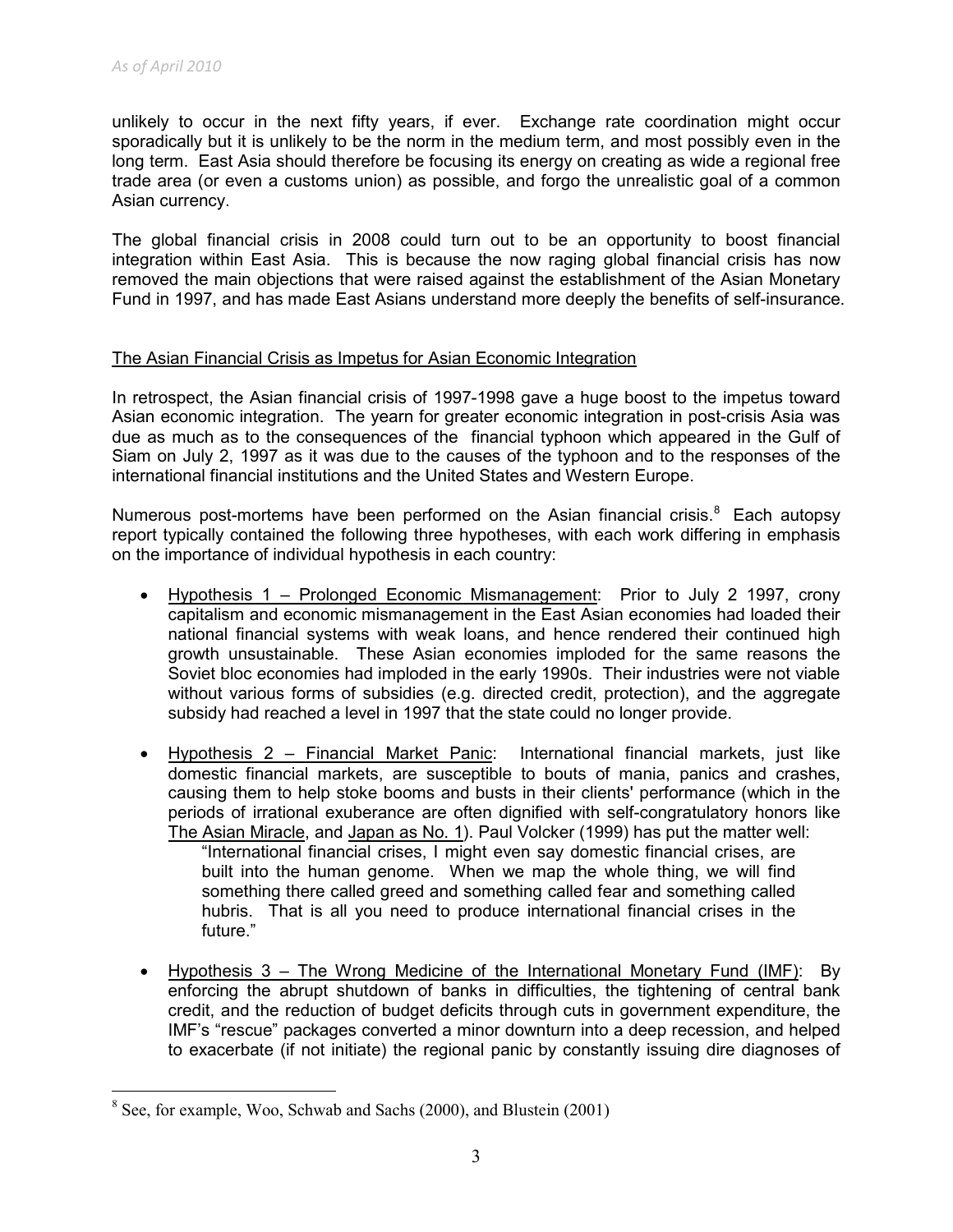unlikely to occur in the next fifty years, if ever. Exchange rate coordination might occur sporadically but it is unlikely to be the norm in the medium term, and most possibly even in the long term. East Asia should therefore be focusing its energy on creating as wide a regional free trade area (or even a customs union) as possible, and forgo the unrealistic goal of a common Asian currency.

The global financial crisis in 2008 could turn out to be an opportunity to boost financial integration within East Asia. This is because the now raging global financial crisis has now removed the main objections that were raised against the establishment of the Asian Monetary Fund in 1997, and has made East Asians understand more deeply the benefits of self-insurance.

#### The Asian Financial Crisis as Impetus for Asian Economic Integration

In retrospect, the Asian financial crisis of 1997-1998 gave a huge boost to the impetus toward Asian economic integration. The yearn for greater economic integration in post-crisis Asia was due as much as to the consequences of the financial typhoon which appeared in the Gulf of Siam on July 2, 1997 as it was due to the causes of the typhoon and to the responses of the international financial institutions and the United States and Western Europe.

Numerous post-mortems have been performed on the Asian financial crisis.<sup>8</sup> Each autopsy report typically contained the following three hypotheses, with each work differing in emphasis on the importance of individual hypothesis in each country:

- Hypothesis 1 Prolonged Economic Mismanagement: Prior to July 2 1997, crony capitalism and economic mismanagement in the East Asian economies had loaded their national financial systems with weak loans, and hence rendered their continued high growth unsustainable. These Asian economies imploded for the same reasons the Soviet bloc economies had imploded in the early 1990s. Their industries were not viable without various forms of subsidies (e.g. directed credit, protection), and the aggregate subsidy had reached a level in 1997 that the state could no longer provide.
- Hypothesis 2 Financial Market Panic: International financial markets, just like domestic financial markets, are susceptible to bouts of mania, panics and crashes, causing them to help stoke booms and busts in their clients' performance (which in the periods of irrational exuberance are often dignified with self-congratulatory honors like The Asian Miracle, and Japan as No. 1). Paul Volcker (1999) has put the matter well: "International financial crises, I might even say domestic financial crises, are built into the human genome. When we map the whole thing, we will find something there called greed and something called fear and something called hubris. That is all you need to produce international financial crises in the future."
- Hypothesis 3 The Wrong Medicine of the International Monetary Fund (IMF): By enforcing the abrupt shutdown of banks in difficulties, the tightening of central bank credit, and the reduction of budget deficits through cuts in government expenditure, the IMF's "rescue" packages converted a minor downturn into a deep recession, and helped to exacerbate (if not initiate) the regional panic by constantly issuing dire diagnoses of

<sup>&</sup>lt;sup>8</sup> See, for example, Woo, Schwab and Sachs (2000), and Blustein (2001)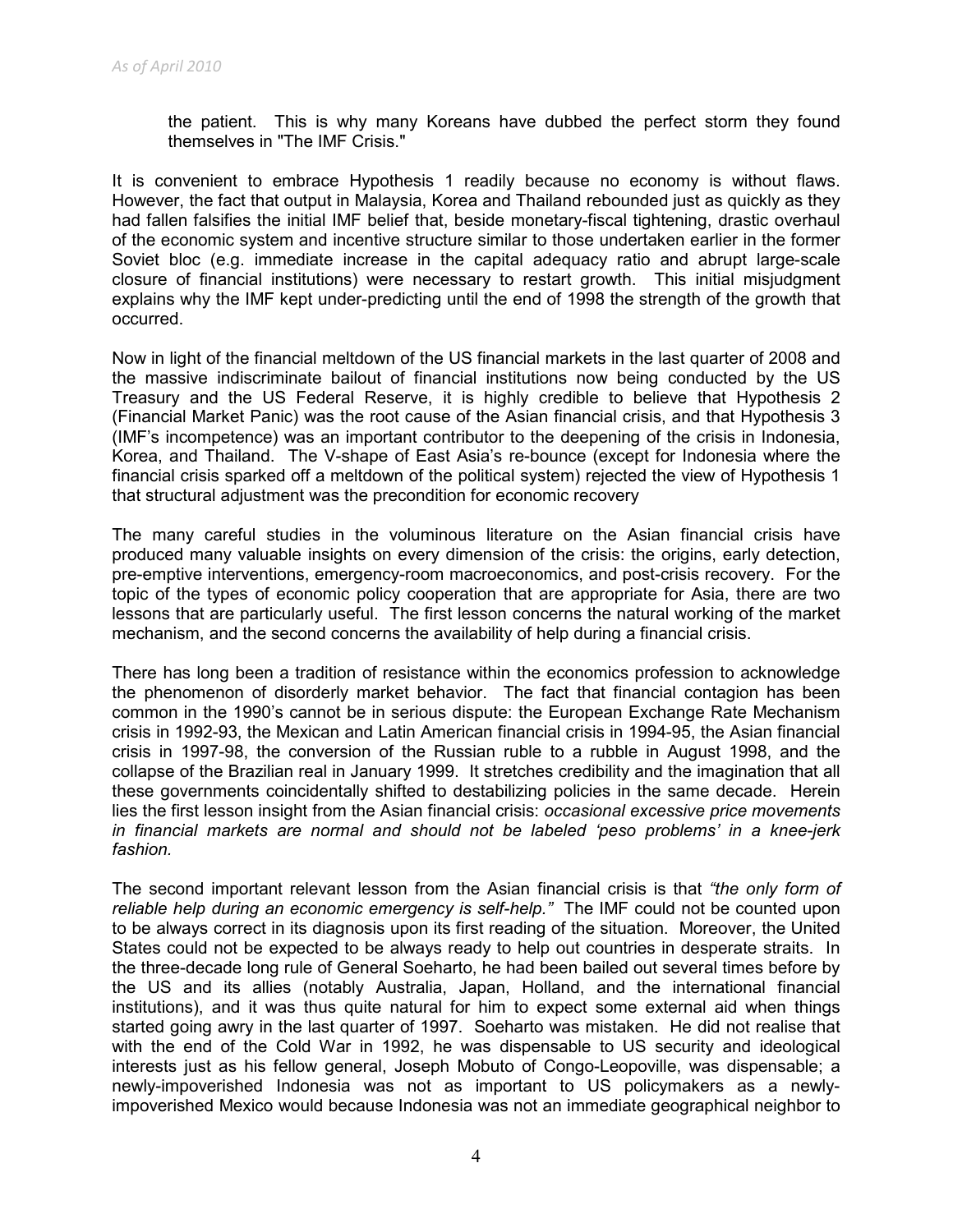the patient. This is why many Koreans have dubbed the perfect storm they found themselves in "The IMF Crisis."

It is convenient to embrace Hypothesis 1 readily because no economy is without flaws. However, the fact that output in Malaysia, Korea and Thailand rebounded just as quickly as they had fallen falsifies the initial IMF belief that, beside monetary-fiscal tightening, drastic overhaul of the economic system and incentive structure similar to those undertaken earlier in the former Soviet bloc (e.g. immediate increase in the capital adequacy ratio and abrupt large-scale closure of financial institutions) were necessary to restart growth. This initial misjudgment explains why the IMF kept under-predicting until the end of 1998 the strength of the growth that occurred.

Now in light of the financial meltdown of the US financial markets in the last quarter of 2008 and the massive indiscriminate bailout of financial institutions now being conducted by the US Treasury and the US Federal Reserve, it is highly credible to believe that Hypothesis 2 (Financial Market Panic) was the root cause of the Asian financial crisis, and that Hypothesis 3 (IMF's incompetence) was an important contributor to the deepening of the crisis in Indonesia, Korea, and Thailand. The V-shape of East Asia's re-bounce (except for Indonesia where the financial crisis sparked off a meltdown of the political system) rejected the view of Hypothesis 1 that structural adjustment was the precondition for economic recovery

The many careful studies in the voluminous literature on the Asian financial crisis have produced many valuable insights on every dimension of the crisis: the origins, early detection, pre-emptive interventions, emergency-room macroeconomics, and post-crisis recovery. For the topic of the types of economic policy cooperation that are appropriate for Asia, there are two lessons that are particularly useful. The first lesson concerns the natural working of the market mechanism, and the second concerns the availability of help during a financial crisis.

There has long been a tradition of resistance within the economics profession to acknowledge the phenomenon of disorderly market behavior. The fact that financial contagion has been common in the 1990's cannot be in serious dispute: the European Exchange Rate Mechanism crisis in 1992-93, the Mexican and Latin American financial crisis in 1994-95, the Asian financial crisis in 1997-98, the conversion of the Russian ruble to a rubble in August 1998, and the collapse of the Brazilian real in January 1999. It stretches credibility and the imagination that all these governments coincidentally shifted to destabilizing policies in the same decade. Herein lies the first lesson insight from the Asian financial crisis: *occasional excessive price movements in financial markets are normal and should not be labeled 'peso problems' in a knee-jerk fashion.* 

The second important relevant lesson from the Asian financial crisis is that *"the only form of reliable help during an economic emergency is self-help."* The IMF could not be counted upon to be always correct in its diagnosis upon its first reading of the situation. Moreover, the United States could not be expected to be always ready to help out countries in desperate straits. In the three-decade long rule of General Soeharto, he had been bailed out several times before by the US and its allies (notably Australia, Japan, Holland, and the international financial institutions), and it was thus quite natural for him to expect some external aid when things started going awry in the last quarter of 1997. Soeharto was mistaken. He did not realise that with the end of the Cold War in 1992, he was dispensable to US security and ideological interests just as his fellow general, Joseph Mobuto of Congo-Leopoville, was dispensable; a newly-impoverished Indonesia was not as important to US policymakers as a newlyimpoverished Mexico would because Indonesia was not an immediate geographical neighbor to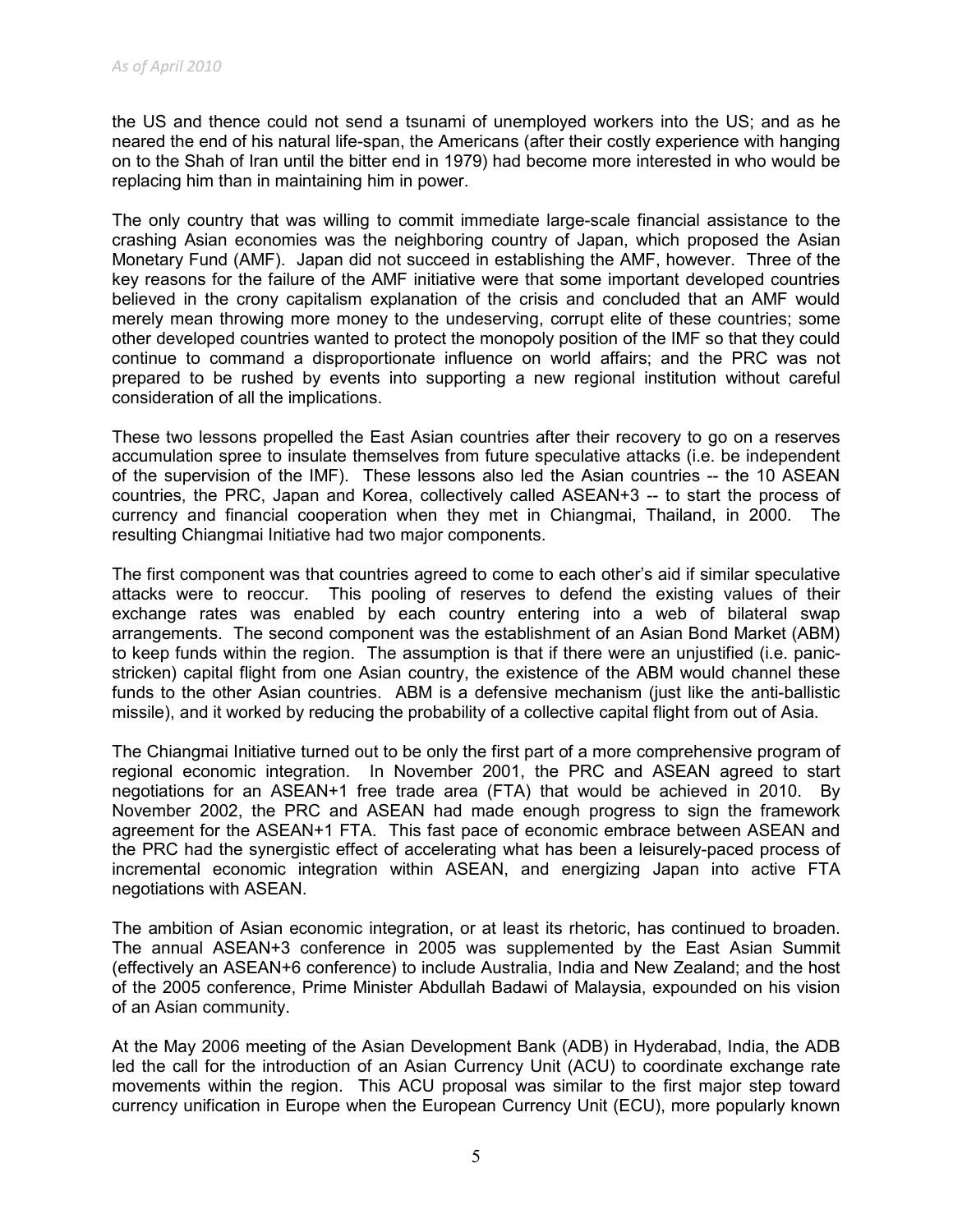the US and thence could not send a tsunami of unemployed workers into the US; and as he neared the end of his natural life-span, the Americans (after their costly experience with hanging on to the Shah of Iran until the bitter end in 1979) had become more interested in who would be replacing him than in maintaining him in power.

The only country that was willing to commit immediate large-scale financial assistance to the crashing Asian economies was the neighboring country of Japan, which proposed the Asian Monetary Fund (AMF). Japan did not succeed in establishing the AMF, however. Three of the key reasons for the failure of the AMF initiative were that some important developed countries believed in the crony capitalism explanation of the crisis and concluded that an AMF would merely mean throwing more money to the undeserving, corrupt elite of these countries; some other developed countries wanted to protect the monopoly position of the IMF so that they could continue to command a disproportionate influence on world affairs; and the PRC was not prepared to be rushed by events into supporting a new regional institution without careful consideration of all the implications.

These two lessons propelled the East Asian countries after their recovery to go on a reserves accumulation spree to insulate themselves from future speculative attacks (i.e. be independent of the supervision of the IMF). These lessons also led the Asian countries -- the 10 ASEAN countries, the PRC, Japan and Korea, collectively called ASEAN+3 -- to start the process of currency and financial cooperation when they met in Chiangmai, Thailand, in 2000. The resulting Chiangmai Initiative had two major components.

The first component was that countries agreed to come to each other's aid if similar speculative attacks were to reoccur. This pooling of reserves to defend the existing values of their exchange rates was enabled by each country entering into a web of bilateral swap arrangements. The second component was the establishment of an Asian Bond Market (ABM) to keep funds within the region. The assumption is that if there were an unjustified (i.e. panicstricken) capital flight from one Asian country, the existence of the ABM would channel these funds to the other Asian countries. ABM is a defensive mechanism (just like the anti-ballistic missile), and it worked by reducing the probability of a collective capital flight from out of Asia.

The Chiangmai Initiative turned out to be only the first part of a more comprehensive program of regional economic integration. In November 2001, the PRC and ASEAN agreed to start negotiations for an ASEAN+1 free trade area (FTA) that would be achieved in 2010. By November 2002, the PRC and ASEAN had made enough progress to sign the framework agreement for the ASEAN+1 FTA. This fast pace of economic embrace between ASEAN and the PRC had the synergistic effect of accelerating what has been a leisurely-paced process of incremental economic integration within ASEAN, and energizing Japan into active FTA negotiations with ASEAN.

The ambition of Asian economic integration, or at least its rhetoric, has continued to broaden. The annual ASEAN+3 conference in 2005 was supplemented by the East Asian Summit (effectively an ASEAN+6 conference) to include Australia, India and New Zealand; and the host of the 2005 conference, Prime Minister Abdullah Badawi of Malaysia, expounded on his vision of an Asian community.

At the May 2006 meeting of the Asian Development Bank (ADB) in Hyderabad, India, the ADB led the call for the introduction of an Asian Currency Unit (ACU) to coordinate exchange rate movements within the region. This ACU proposal was similar to the first major step toward currency unification in Europe when the European Currency Unit (ECU), more popularly known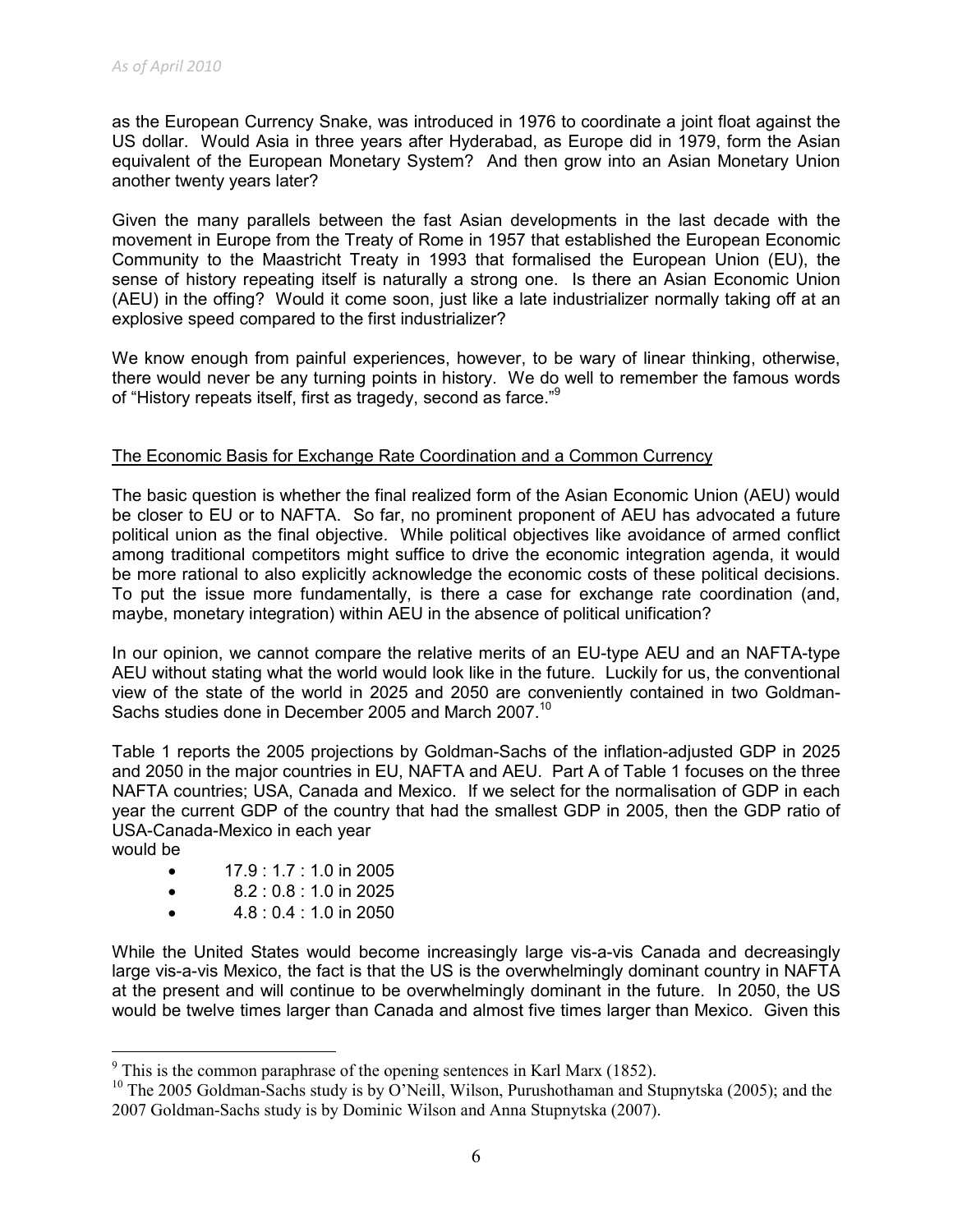as the European Currency Snake, was introduced in 1976 to coordinate a joint float against the US dollar. Would Asia in three years after Hyderabad, as Europe did in 1979, form the Asian equivalent of the European Monetary System? And then grow into an Asian Monetary Union another twenty years later?

Given the many parallels between the fast Asian developments in the last decade with the movement in Europe from the Treaty of Rome in 1957 that established the European Economic Community to the Maastricht Treaty in 1993 that formalised the European Union (EU), the sense of history repeating itself is naturally a strong one. Is there an Asian Economic Union (AEU) in the offing? Would it come soon, just like a late industrializer normally taking off at an explosive speed compared to the first industrializer?

We know enough from painful experiences, however, to be wary of linear thinking, otherwise, there would never be any turning points in history. We do well to remember the famous words of "History repeats itself, first as tragedy, second as farce."<sup>9</sup>

#### The Economic Basis for Exchange Rate Coordination and a Common Currency

The basic question is whether the final realized form of the Asian Economic Union (AEU) would be closer to EU or to NAFTA. So far, no prominent proponent of AEU has advocated a future political union as the final objective. While political objectives like avoidance of armed conflict among traditional competitors might suffice to drive the economic integration agenda, it would be more rational to also explicitly acknowledge the economic costs of these political decisions. To put the issue more fundamentally, is there a case for exchange rate coordination (and, maybe, monetary integration) within AEU in the absence of political unification?

In our opinion, we cannot compare the relative merits of an EU-type AEU and an NAFTA-type AEU without stating what the world would look like in the future. Luckily for us, the conventional view of the state of the world in 2025 and 2050 are conveniently contained in two Goldman-Sachs studies done in December 2005 and March 2007.<sup>10</sup>

Table 1 reports the 2005 projections by Goldman-Sachs of the inflation-adjusted GDP in 2025 and 2050 in the major countries in EU, NAFTA and AEU. Part A of Table 1 focuses on the three NAFTA countries; USA, Canada and Mexico. If we select for the normalisation of GDP in each year the current GDP of the country that had the smallest GDP in 2005, then the GDP ratio of USA-Canada-Mexico in each year

would be

 $\overline{a}$ 

- 17.9 : 1.7 : 1.0 in 2005
- $\bullet$  8.2 : 0.8 : 1.0 in 2025
- $\bullet$  4.8 : 0.4 : 1.0 in 2050

While the United States would become increasingly large vis-a-vis Canada and decreasingly large vis-a-vis Mexico, the fact is that the US is the overwhelmingly dominant country in NAFTA at the present and will continue to be overwhelmingly dominant in the future. In 2050, the US would be twelve times larger than Canada and almost five times larger than Mexico. Given this

 $9$  This is the common paraphrase of the opening sentences in Karl Marx (1852).

<sup>&</sup>lt;sup>10</sup> The 2005 Goldman-Sachs study is by O'Neill, Wilson, Purushothaman and Stupnytska (2005); and the 2007 Goldman-Sachs study is by Dominic Wilson and Anna Stupnytska (2007).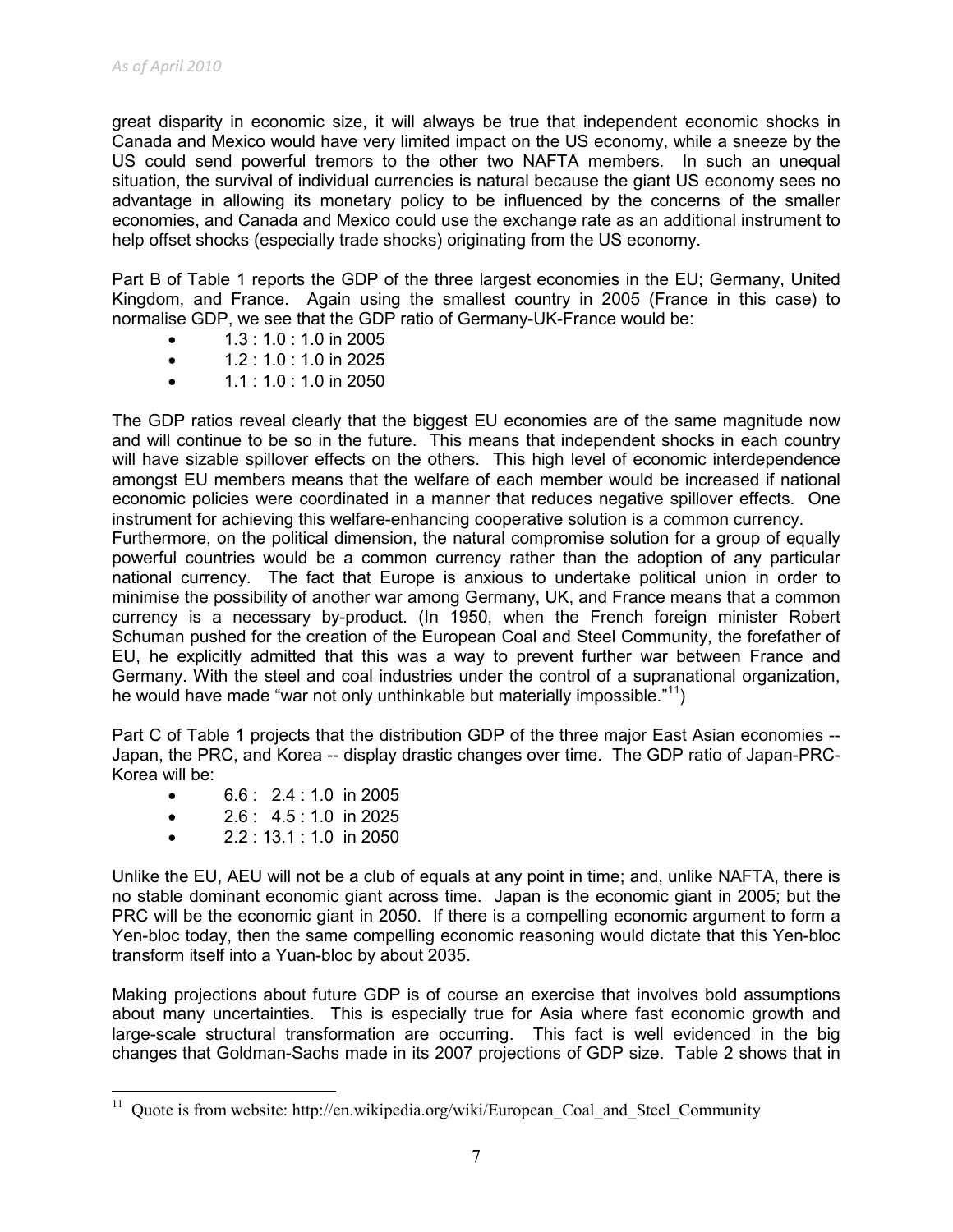great disparity in economic size, it will always be true that independent economic shocks in Canada and Mexico would have very limited impact on the US economy, while a sneeze by the US could send powerful tremors to the other two NAFTA members. In such an unequal situation, the survival of individual currencies is natural because the giant US economy sees no advantage in allowing its monetary policy to be influenced by the concerns of the smaller economies, and Canada and Mexico could use the exchange rate as an additional instrument to help offset shocks (especially trade shocks) originating from the US economy.

Part B of Table 1 reports the GDP of the three largest economies in the EU; Germany, United Kingdom, and France. Again using the smallest country in 2005 (France in this case) to normalise GDP, we see that the GDP ratio of Germany-UK-France would be:

- $1.3:1.0:1.0$  in 2005
- $\bullet$  1.2 : 1.0 : 1.0 in 2025
- $1.1 : 1.0 : 1.0$  in 2050

The GDP ratios reveal clearly that the biggest EU economies are of the same magnitude now and will continue to be so in the future. This means that independent shocks in each country will have sizable spillover effects on the others. This high level of economic interdependence amongst EU members means that the welfare of each member would be increased if national economic policies were coordinated in a manner that reduces negative spillover effects. One instrument for achieving this welfare-enhancing cooperative solution is a common currency. Furthermore, on the political dimension, the natural compromise solution for a group of equally powerful countries would be a common currency rather than the adoption of any particular national currency. The fact that Europe is anxious to undertake political union in order to minimise the possibility of another war among Germany, UK, and France means that a common currency is a necessary by-product. (In 1950, when the French foreign minister Robert Schuman pushed for the creation of the European Coal and Steel Community, the forefather of EU, he explicitly admitted that this was a way to prevent further war between France and Germany. With the steel and coal industries under the control of a supranational organization,

Part C of Table 1 projects that the distribution GDP of the three major East Asian economies -- Japan, the PRC, and Korea -- display drastic changes over time. The GDP ratio of Japan-PRC-Korea will be:

he would have made "war not only unthinkable but materially impossible."<sup>11</sup>)

- 6.6 : 2.4 : 1.0 in 2005
- 2.6 :  $4.5:1.0$  in 2025
- 2.2 : 13.1 : 1.0 in 2050

 $\overline{a}$ 

Unlike the EU, AEU will not be a club of equals at any point in time; and, unlike NAFTA, there is no stable dominant economic giant across time. Japan is the economic giant in 2005; but the PRC will be the economic giant in 2050. If there is a compelling economic argument to form a Yen-bloc today, then the same compelling economic reasoning would dictate that this Yen-bloc transform itself into a Yuan-bloc by about 2035.

Making projections about future GDP is of course an exercise that involves bold assumptions about many uncertainties. This is especially true for Asia where fast economic growth and large-scale structural transformation are occurring. This fact is well evidenced in the big changes that Goldman-Sachs made in its 2007 projections of GDP size. Table 2 shows that in

<sup>&</sup>lt;sup>11</sup> Quote is from website: http://en.wikipedia.org/wiki/European\_Coal\_and\_Steel\_Community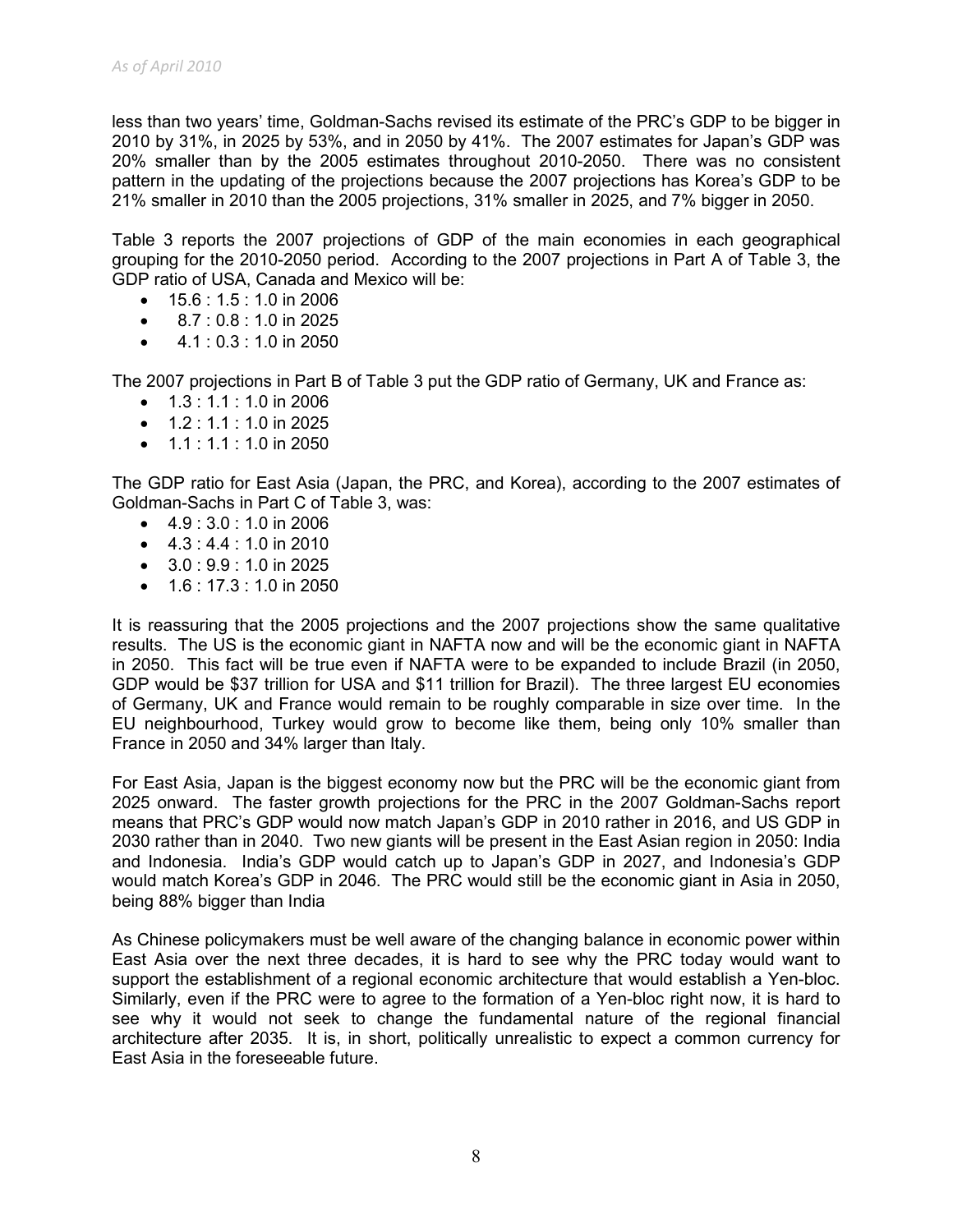less than two years' time, Goldman-Sachs revised its estimate of the PRC's GDP to be bigger in 2010 by 31%, in 2025 by 53%, and in 2050 by 41%. The 2007 estimates for Japan's GDP was 20% smaller than by the 2005 estimates throughout 2010-2050. There was no consistent pattern in the updating of the projections because the 2007 projections has Korea's GDP to be 21% smaller in 2010 than the 2005 projections, 31% smaller in 2025, and 7% bigger in 2050.

Table 3 reports the 2007 projections of GDP of the main economies in each geographical grouping for the 2010-2050 period. According to the 2007 projections in Part A of Table 3, the GDP ratio of USA, Canada and Mexico will be:

- $\bullet$  15.6 : 1.5 : 1.0 in 2006
- $\bullet$  8.7 : 0.8 : 1.0 in 2025
- $\bullet$  4.1 : 0.3 : 1.0 in 2050

The 2007 projections in Part B of Table 3 put the GDP ratio of Germany, UK and France as:

- $\bullet$  1.3 : 1.1 : 1.0 in 2006
- $\bullet$  1.2 : 1.1 : 1.0 in 2025
- $\bullet$  1.1 : 1.1 : 1.0 in 2050

The GDP ratio for East Asia (Japan, the PRC, and Korea), according to the 2007 estimates of Goldman-Sachs in Part C of Table 3, was:

- 4.9 : 3.0 : 1.0 in 2006
- $\bullet$  4.3 : 4.4 : 1.0 in 2010
- 3.0 : 9.9 : 1.0 in 2025
- $\bullet$  1.6 : 17.3 : 1.0 in 2050

It is reassuring that the 2005 projections and the 2007 projections show the same qualitative results. The US is the economic giant in NAFTA now and will be the economic giant in NAFTA in 2050. This fact will be true even if NAFTA were to be expanded to include Brazil (in 2050, GDP would be \$37 trillion for USA and \$11 trillion for Brazil). The three largest EU economies of Germany, UK and France would remain to be roughly comparable in size over time. In the EU neighbourhood, Turkey would grow to become like them, being only 10% smaller than France in 2050 and 34% larger than Italy.

For East Asia, Japan is the biggest economy now but the PRC will be the economic giant from 2025 onward. The faster growth projections for the PRC in the 2007 Goldman-Sachs report means that PRC's GDP would now match Japan's GDP in 2010 rather in 2016, and US GDP in 2030 rather than in 2040. Two new giants will be present in the East Asian region in 2050: India and Indonesia. India's GDP would catch up to Japan's GDP in 2027, and Indonesia's GDP would match Korea's GDP in 2046. The PRC would still be the economic giant in Asia in 2050, being 88% bigger than India

As Chinese policymakers must be well aware of the changing balance in economic power within East Asia over the next three decades, it is hard to see why the PRC today would want to support the establishment of a regional economic architecture that would establish a Yen-bloc. Similarly, even if the PRC were to agree to the formation of a Yen-bloc right now, it is hard to see why it would not seek to change the fundamental nature of the regional financial architecture after 2035. It is, in short, politically unrealistic to expect a common currency for East Asia in the foreseeable future.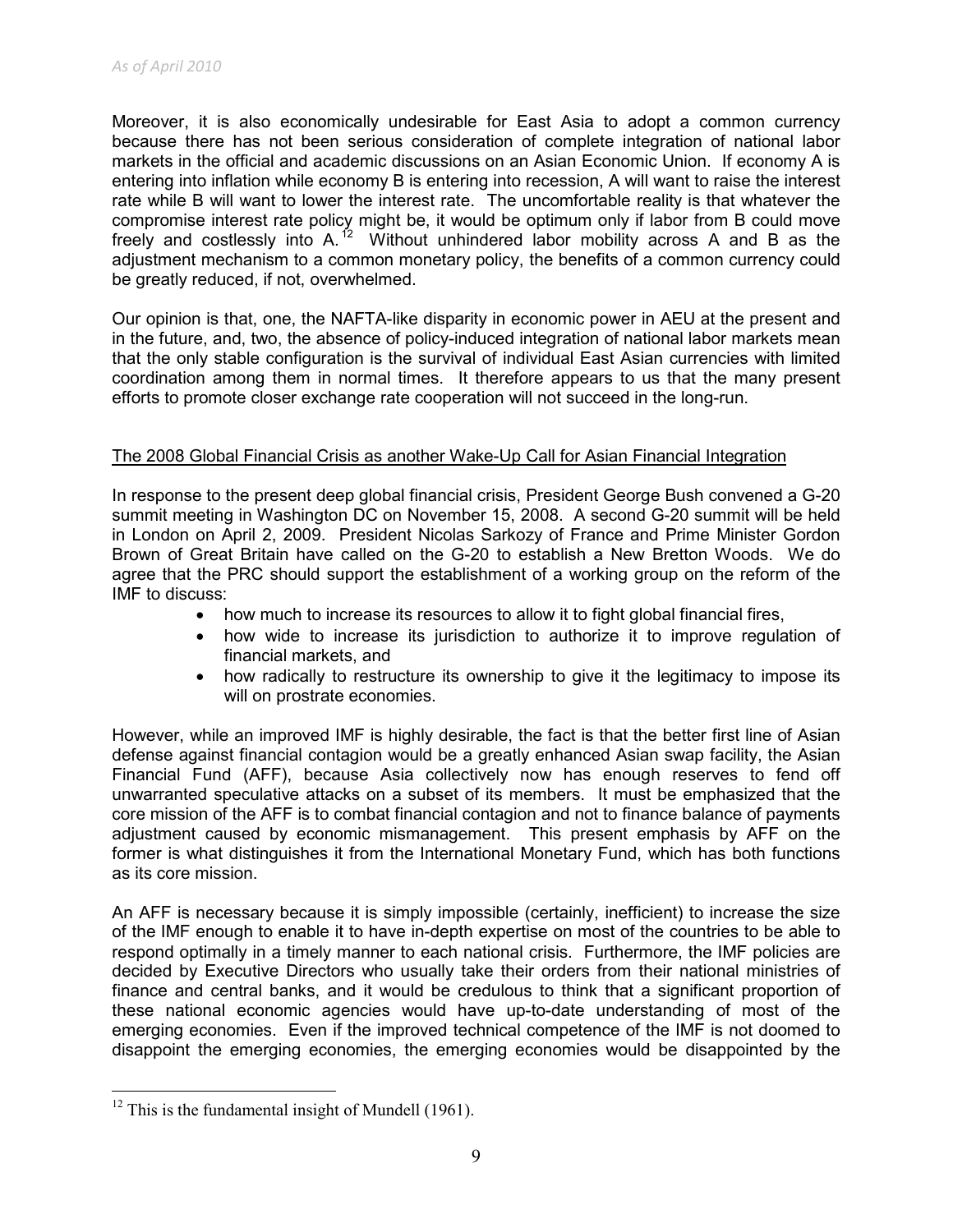Moreover, it is also economically undesirable for East Asia to adopt a common currency because there has not been serious consideration of complete integration of national labor markets in the official and academic discussions on an Asian Economic Union. If economy A is entering into inflation while economy B is entering into recession, A will want to raise the interest rate while B will want to lower the interest rate. The uncomfortable reality is that whatever the compromise interest rate policy might be, it would be optimum only if labor from B could move freely and costlessly into A. <sup>12</sup> Without unhindered labor mobility across A and B as the adjustment mechanism to a common monetary policy, the benefits of a common currency could be greatly reduced, if not, overwhelmed.

Our opinion is that, one, the NAFTA-like disparity in economic power in AEU at the present and in the future, and, two, the absence of policy-induced integration of national labor markets mean that the only stable configuration is the survival of individual East Asian currencies with limited coordination among them in normal times. It therefore appears to us that the many present efforts to promote closer exchange rate cooperation will not succeed in the long-run.

#### The 2008 Global Financial Crisis as another Wake-Up Call for Asian Financial Integration

In response to the present deep global financial crisis, President George Bush convened a G-20 summit meeting in Washington DC on November 15, 2008. A second G-20 summit will be held in London on April 2, 2009. President Nicolas Sarkozy of France and Prime Minister Gordon Brown of Great Britain have called on the G-20 to establish a New Bretton Woods. We do agree that the PRC should support the establishment of a working group on the reform of the IMF to discuss:

- how much to increase its resources to allow it to fight global financial fires,
- how wide to increase its jurisdiction to authorize it to improve regulation of financial markets, and
- how radically to restructure its ownership to give it the legitimacy to impose its will on prostrate economies.

However, while an improved IMF is highly desirable, the fact is that the better first line of Asian defense against financial contagion would be a greatly enhanced Asian swap facility, the Asian Financial Fund (AFF), because Asia collectively now has enough reserves to fend off unwarranted speculative attacks on a subset of its members. It must be emphasized that the core mission of the AFF is to combat financial contagion and not to finance balance of payments adjustment caused by economic mismanagement. This present emphasis by AFF on the former is what distinguishes it from the International Monetary Fund, which has both functions as its core mission.

An AFF is necessary because it is simply impossible (certainly, inefficient) to increase the size of the IMF enough to enable it to have in-depth expertise on most of the countries to be able to respond optimally in a timely manner to each national crisis. Furthermore, the IMF policies are decided by Executive Directors who usually take their orders from their national ministries of finance and central banks, and it would be credulous to think that a significant proportion of these national economic agencies would have up-to-date understanding of most of the emerging economies. Even if the improved technical competence of the IMF is not doomed to disappoint the emerging economies, the emerging economies would be disappointed by the

 $12$  This is the fundamental insight of Mundell (1961).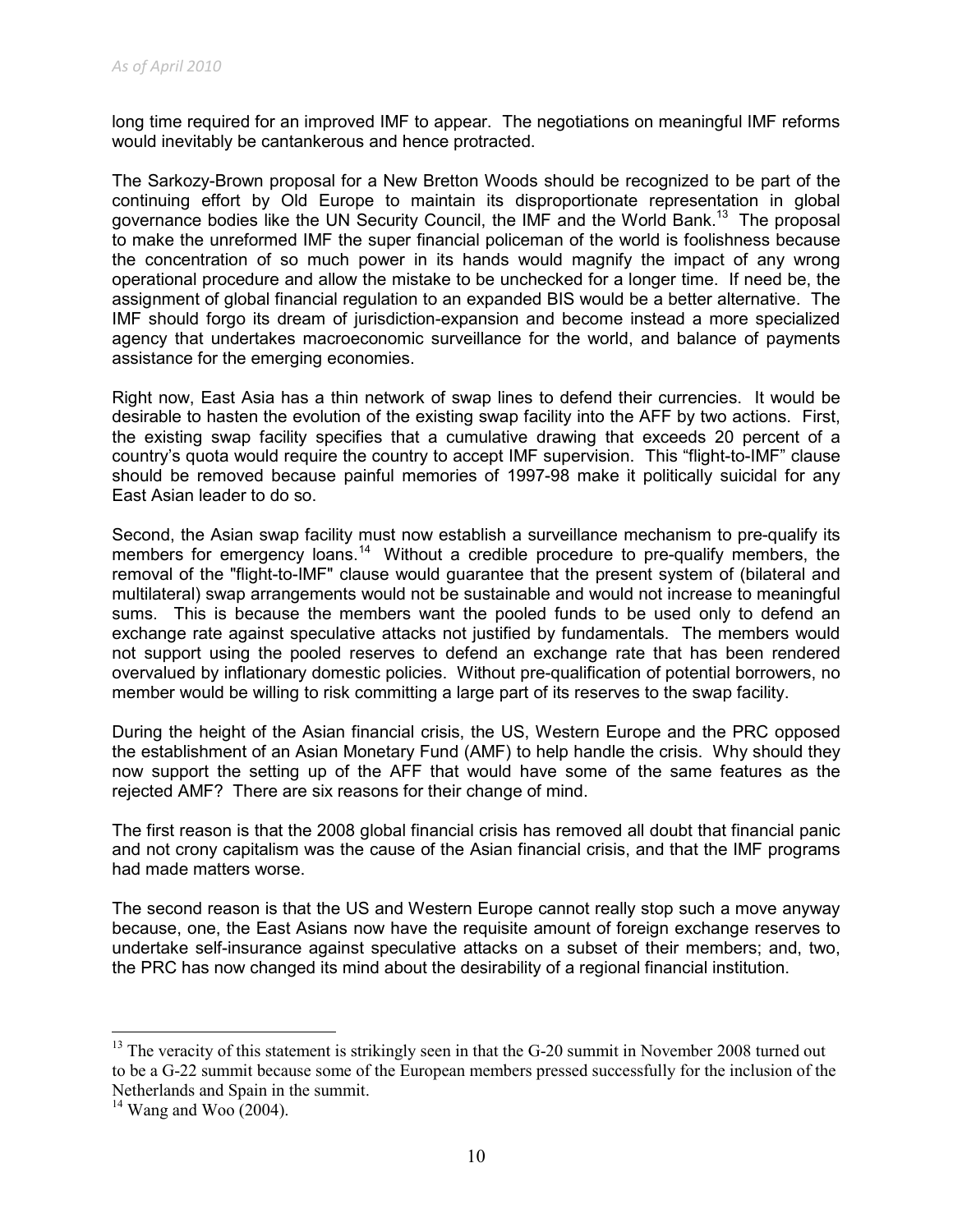long time required for an improved IMF to appear. The negotiations on meaningful IMF reforms would inevitably be cantankerous and hence protracted.

The Sarkozy-Brown proposal for a New Bretton Woods should be recognized to be part of the continuing effort by Old Europe to maintain its disproportionate representation in global governance bodies like the UN Security Council, the IMF and the World Bank.<sup>13</sup> The proposal to make the unreformed IMF the super financial policeman of the world is foolishness because the concentration of so much power in its hands would magnify the impact of any wrong operational procedure and allow the mistake to be unchecked for a longer time. If need be, the assignment of global financial regulation to an expanded BIS would be a better alternative. The IMF should forgo its dream of jurisdiction-expansion and become instead a more specialized agency that undertakes macroeconomic surveillance for the world, and balance of payments assistance for the emerging economies.

Right now, East Asia has a thin network of swap lines to defend their currencies. It would be desirable to hasten the evolution of the existing swap facility into the AFF by two actions. First, the existing swap facility specifies that a cumulative drawing that exceeds 20 percent of a country's quota would require the country to accept IMF supervision. This "flight-to-IMF" clause should be removed because painful memories of 1997-98 make it politically suicidal for any East Asian leader to do so.

Second, the Asian swap facility must now establish a surveillance mechanism to pre-qualify its members for emergency loans.<sup>14</sup> Without a credible procedure to pre-qualify members, the removal of the "flight-to-IMF" clause would guarantee that the present system of (bilateral and multilateral) swap arrangements would not be sustainable and would not increase to meaningful sums. This is because the members want the pooled funds to be used only to defend an exchange rate against speculative attacks not justified by fundamentals. The members would not support using the pooled reserves to defend an exchange rate that has been rendered overvalued by inflationary domestic policies. Without pre-qualification of potential borrowers, no member would be willing to risk committing a large part of its reserves to the swap facility.

During the height of the Asian financial crisis, the US, Western Europe and the PRC opposed the establishment of an Asian Monetary Fund (AMF) to help handle the crisis. Why should they now support the setting up of the AFF that would have some of the same features as the rejected AMF? There are six reasons for their change of mind.

The first reason is that the 2008 global financial crisis has removed all doubt that financial panic and not crony capitalism was the cause of the Asian financial crisis, and that the IMF programs had made matters worse.

The second reason is that the US and Western Europe cannot really stop such a move anyway because, one, the East Asians now have the requisite amount of foreign exchange reserves to undertake self-insurance against speculative attacks on a subset of their members; and, two, the PRC has now changed its mind about the desirability of a regional financial institution.

 $13$  The veracity of this statement is strikingly seen in that the G-20 summit in November 2008 turned out to be a G-22 summit because some of the European members pressed successfully for the inclusion of the Netherlands and Spain in the summit.

 $14$  Wang and Woo (2004).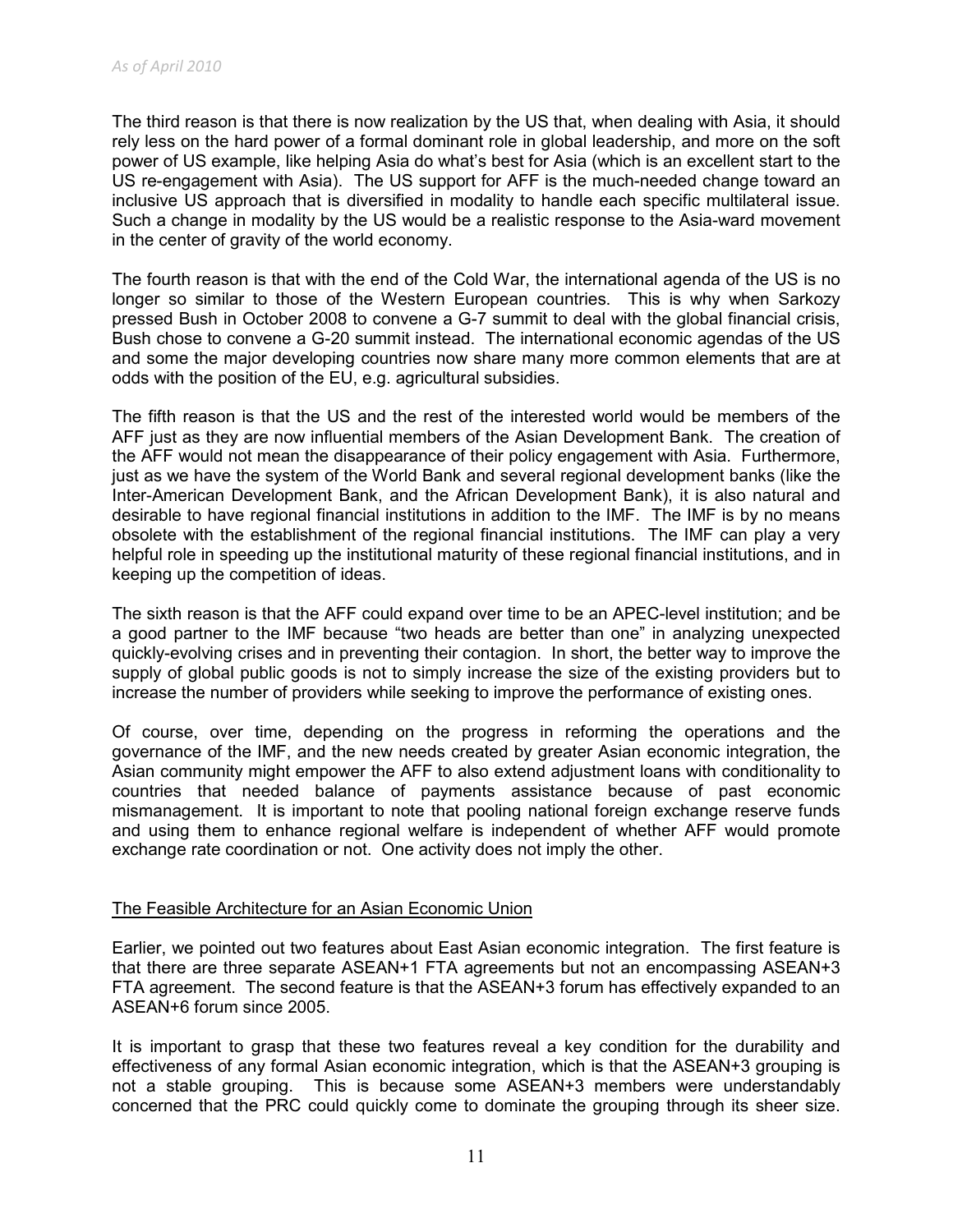The third reason is that there is now realization by the US that, when dealing with Asia, it should rely less on the hard power of a formal dominant role in global leadership, and more on the soft power of US example, like helping Asia do what's best for Asia (which is an excellent start to the US re-engagement with Asia). The US support for AFF is the much-needed change toward an inclusive US approach that is diversified in modality to handle each specific multilateral issue. Such a change in modality by the US would be a realistic response to the Asia-ward movement in the center of gravity of the world economy.

The fourth reason is that with the end of the Cold War, the international agenda of the US is no longer so similar to those of the Western European countries. This is why when Sarkozy pressed Bush in October 2008 to convene a G-7 summit to deal with the global financial crisis, Bush chose to convene a G-20 summit instead. The international economic agendas of the US and some the major developing countries now share many more common elements that are at odds with the position of the EU, e.g. agricultural subsidies.

The fifth reason is that the US and the rest of the interested world would be members of the AFF just as they are now influential members of the Asian Development Bank. The creation of the AFF would not mean the disappearance of their policy engagement with Asia. Furthermore, just as we have the system of the World Bank and several regional development banks (like the Inter-American Development Bank, and the African Development Bank), it is also natural and desirable to have regional financial institutions in addition to the IMF. The IMF is by no means obsolete with the establishment of the regional financial institutions. The IMF can play a very helpful role in speeding up the institutional maturity of these regional financial institutions, and in keeping up the competition of ideas.

The sixth reason is that the AFF could expand over time to be an APEC-level institution; and be a good partner to the IMF because "two heads are better than one" in analyzing unexpected quickly-evolving crises and in preventing their contagion. In short, the better way to improve the supply of global public goods is not to simply increase the size of the existing providers but to increase the number of providers while seeking to improve the performance of existing ones.

Of course, over time, depending on the progress in reforming the operations and the governance of the IMF, and the new needs created by greater Asian economic integration, the Asian community might empower the AFF to also extend adjustment loans with conditionality to countries that needed balance of payments assistance because of past economic mismanagement. It is important to note that pooling national foreign exchange reserve funds and using them to enhance regional welfare is independent of whether AFF would promote exchange rate coordination or not. One activity does not imply the other.

#### The Feasible Architecture for an Asian Economic Union

Earlier, we pointed out two features about East Asian economic integration. The first feature is that there are three separate ASEAN+1 FTA agreements but not an encompassing ASEAN+3 FTA agreement. The second feature is that the ASEAN+3 forum has effectively expanded to an ASEAN+6 forum since 2005.

It is important to grasp that these two features reveal a key condition for the durability and effectiveness of any formal Asian economic integration, which is that the ASEAN+3 grouping is not a stable grouping. This is because some ASEAN+3 members were understandably concerned that the PRC could quickly come to dominate the grouping through its sheer size.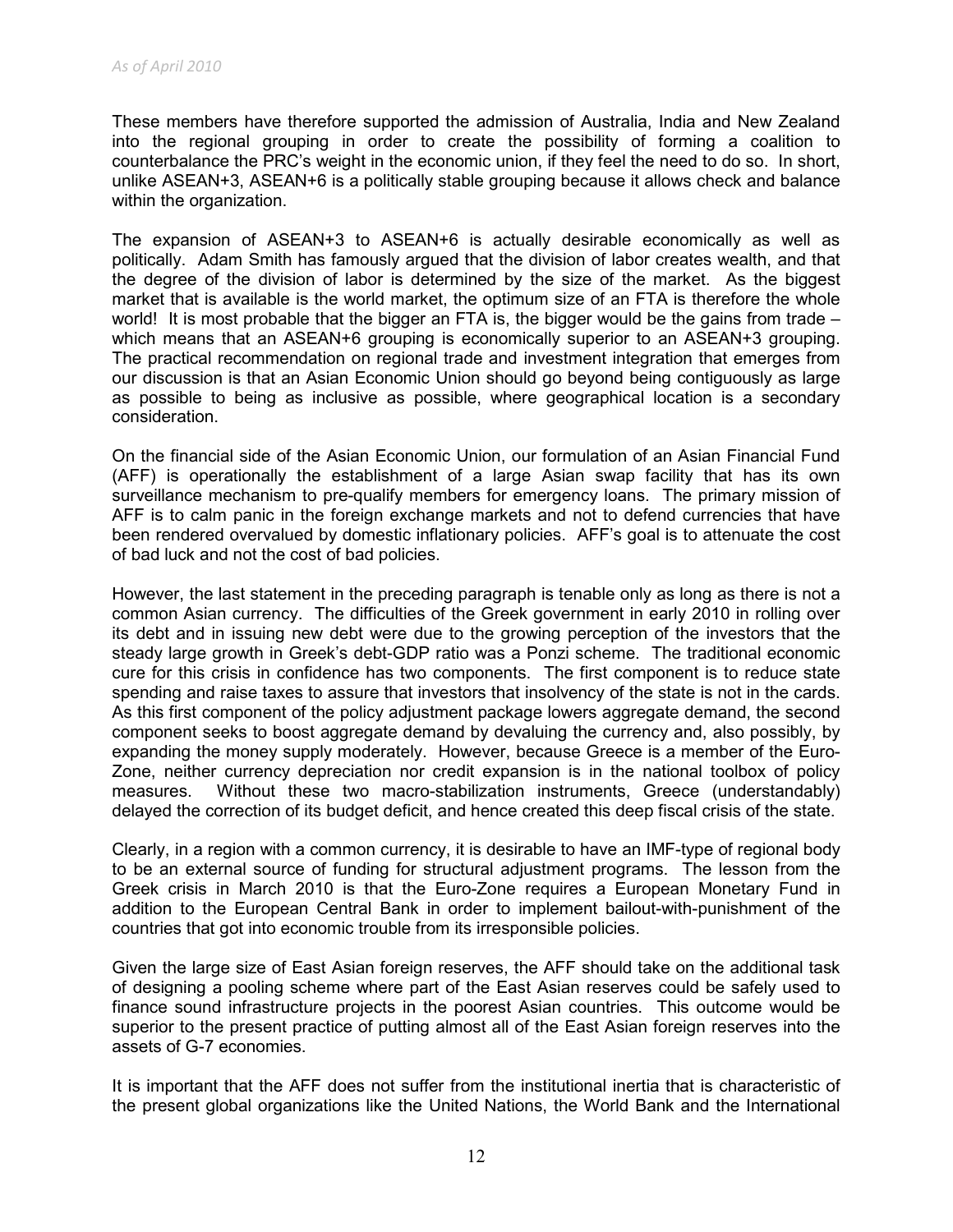These members have therefore supported the admission of Australia, India and New Zealand into the regional grouping in order to create the possibility of forming a coalition to counterbalance the PRC's weight in the economic union, if they feel the need to do so. In short, unlike ASEAN+3, ASEAN+6 is a politically stable grouping because it allows check and balance within the organization.

The expansion of ASEAN+3 to ASEAN+6 is actually desirable economically as well as politically. Adam Smith has famously argued that the division of labor creates wealth, and that the degree of the division of labor is determined by the size of the market. As the biggest market that is available is the world market, the optimum size of an FTA is therefore the whole world! It is most probable that the bigger an FTA is, the bigger would be the gains from trade – which means that an ASEAN+6 grouping is economically superior to an ASEAN+3 grouping. The practical recommendation on regional trade and investment integration that emerges from our discussion is that an Asian Economic Union should go beyond being contiguously as large as possible to being as inclusive as possible, where geographical location is a secondary consideration.

On the financial side of the Asian Economic Union, our formulation of an Asian Financial Fund (AFF) is operationally the establishment of a large Asian swap facility that has its own surveillance mechanism to pre-qualify members for emergency loans. The primary mission of AFF is to calm panic in the foreign exchange markets and not to defend currencies that have been rendered overvalued by domestic inflationary policies. AFF's goal is to attenuate the cost of bad luck and not the cost of bad policies.

However, the last statement in the preceding paragraph is tenable only as long as there is not a common Asian currency. The difficulties of the Greek government in early 2010 in rolling over its debt and in issuing new debt were due to the growing perception of the investors that the steady large growth in Greek's debt-GDP ratio was a Ponzi scheme. The traditional economic cure for this crisis in confidence has two components. The first component is to reduce state spending and raise taxes to assure that investors that insolvency of the state is not in the cards. As this first component of the policy adjustment package lowers aggregate demand, the second component seeks to boost aggregate demand by devaluing the currency and, also possibly, by expanding the money supply moderately. However, because Greece is a member of the Euro-Zone, neither currency depreciation nor credit expansion is in the national toolbox of policy measures. Without these two macro-stabilization instruments, Greece (understandably) delayed the correction of its budget deficit, and hence created this deep fiscal crisis of the state.

Clearly, in a region with a common currency, it is desirable to have an IMF-type of regional body to be an external source of funding for structural adjustment programs. The lesson from the Greek crisis in March 2010 is that the Euro-Zone requires a European Monetary Fund in addition to the European Central Bank in order to implement bailout-with-punishment of the countries that got into economic trouble from its irresponsible policies.

Given the large size of East Asian foreign reserves, the AFF should take on the additional task of designing a pooling scheme where part of the East Asian reserves could be safely used to finance sound infrastructure projects in the poorest Asian countries. This outcome would be superior to the present practice of putting almost all of the East Asian foreign reserves into the assets of G-7 economies.

It is important that the AFF does not suffer from the institutional inertia that is characteristic of the present global organizations like the United Nations, the World Bank and the International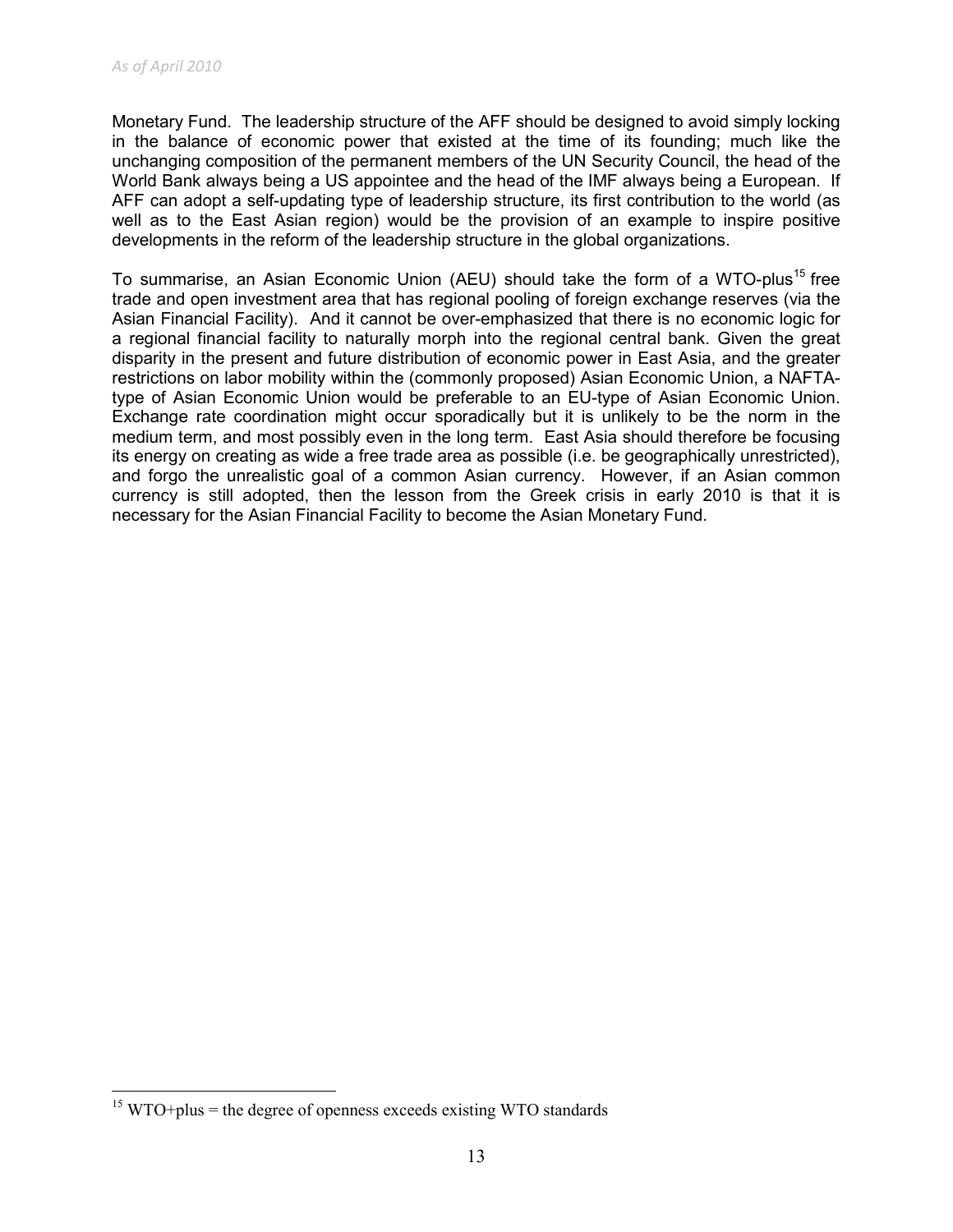Monetary Fund. The leadership structure of the AFF should be designed to avoid simply locking in the balance of economic power that existed at the time of its founding; much like the unchanging composition of the permanent members of the UN Security Council, the head of the World Bank always being a US appointee and the head of the IMF always being a European. If AFF can adopt a self-updating type of leadership structure, its first contribution to the world (as well as to the East Asian region) would be the provision of an example to inspire positive developments in the reform of the leadership structure in the global organizations.

To summarise, an Asian Economic Union (AEU) should take the form of a WTO-plus<sup>15</sup> free trade and open investment area that has regional pooling of foreign exchange reserves (via the Asian Financial Facility). And it cannot be over-emphasized that there is no economic logic for a regional financial facility to naturally morph into the regional central bank. Given the great disparity in the present and future distribution of economic power in East Asia, and the greater restrictions on labor mobility within the (commonly proposed) Asian Economic Union, a NAFTAtype of Asian Economic Union would be preferable to an EU-type of Asian Economic Union. Exchange rate coordination might occur sporadically but it is unlikely to be the norm in the medium term, and most possibly even in the long term. East Asia should therefore be focusing its energy on creating as wide a free trade area as possible (i.e. be geographically unrestricted), and forgo the unrealistic goal of a common Asian currency. However, if an Asian common currency is still adopted, then the lesson from the Greek crisis in early 2010 is that it is necessary for the Asian Financial Facility to become the Asian Monetary Fund.

 $\overline{a}$ <sup>15</sup> WTO+plus = the degree of openness exceeds existing WTO standards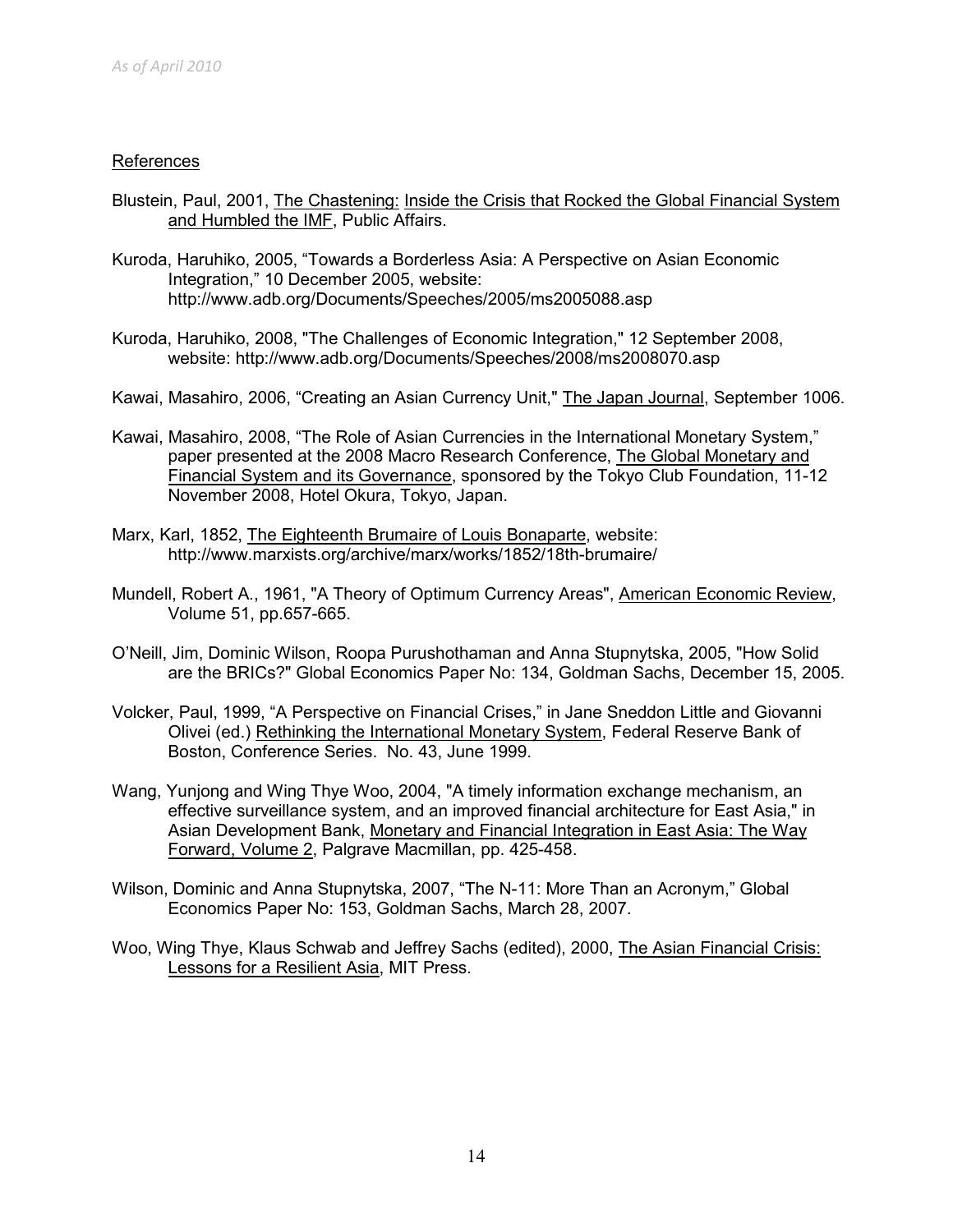#### References

- Blustein, Paul, 2001, The Chastening: Inside the Crisis that Rocked the Global Financial System and Humbled the IMF, Public Affairs.
- Kuroda, Haruhiko, 2005, "Towards a Borderless Asia: A Perspective on Asian Economic Integration," 10 December 2005, website: http://www.adb.org/Documents/Speeches/2005/ms2005088.asp
- Kuroda, Haruhiko, 2008, "The Challenges of Economic Integration," 12 September 2008, website: http://www.adb.org/Documents/Speeches/2008/ms2008070.asp
- Kawai, Masahiro, 2006, "Creating an Asian Currency Unit," The Japan Journal, September 1006.
- Kawai, Masahiro, 2008, "The Role of Asian Currencies in the International Monetary System," paper presented at the 2008 Macro Research Conference, The Global Monetary and Financial System and its Governance, sponsored by the Tokyo Club Foundation, 11-12 November 2008, Hotel Okura, Tokyo, Japan.
- Marx, Karl, 1852, The Eighteenth Brumaire of Louis Bonaparte, website: http://www.marxists.org/archive/marx/works/1852/18th-brumaire/
- Mundell, Robert A., 1961, "A Theory of Optimum Currency Areas", American Economic Review, Volume 51, pp.657-665.
- O'Neill, Jim, Dominic Wilson, Roopa Purushothaman and Anna Stupnytska, 2005, "How Solid are the BRICs?" Global Economics Paper No: 134, Goldman Sachs, December 15, 2005.
- Volcker, Paul, 1999, "A Perspective on Financial Crises," in Jane Sneddon Little and Giovanni Olivei (ed.) Rethinking the International Monetary System, Federal Reserve Bank of Boston, Conference Series. No. 43, June 1999.
- Wang, Yunjong and Wing Thye Woo, 2004, "A timely information exchange mechanism, an effective surveillance system, and an improved financial architecture for East Asia," in Asian Development Bank, Monetary and Financial Integration in East Asia: The Way Forward, Volume 2, Palgrave Macmillan, pp. 425-458.
- Wilson, Dominic and Anna Stupnytska, 2007, "The N-11: More Than an Acronym," Global Economics Paper No: 153, Goldman Sachs, March 28, 2007.
- Woo, Wing Thye, Klaus Schwab and Jeffrey Sachs (edited), 2000, The Asian Financial Crisis: Lessons for a Resilient Asia, MIT Press.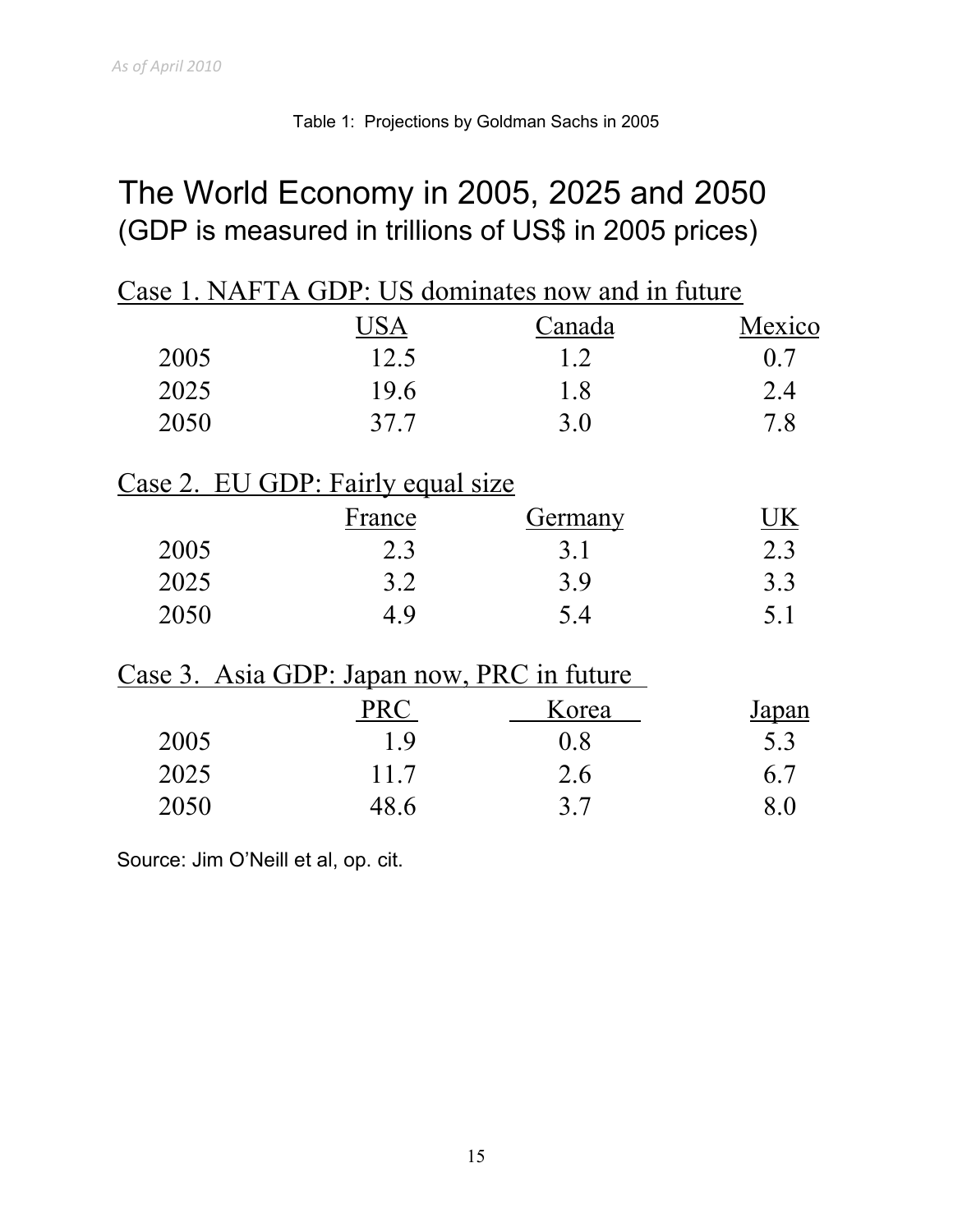# The World Economy in 2005, 2025 and 2050 (GDP is measured in trillions of US\$ in 2005 prices)

|                                                   |                                   | Case 1. NAFTA GDP: US dominates now and in future |                         |  |  |  |
|---------------------------------------------------|-----------------------------------|---------------------------------------------------|-------------------------|--|--|--|
|                                                   | <b>USA</b>                        | Canada                                            | Mexico                  |  |  |  |
| 2005                                              | 12.5                              | 1.2                                               | 0.7                     |  |  |  |
| 2025                                              | 19.6                              | 1.8                                               | 2.4                     |  |  |  |
| 2050                                              | 37.7                              | 3.0                                               | 7.8                     |  |  |  |
|                                                   | Case 2. EU GDP: Fairly equal size |                                                   |                         |  |  |  |
|                                                   | France                            | <u>Germany</u>                                    | $\underline{\text{UK}}$ |  |  |  |
| 2005                                              | 2.3                               | 3.1                                               | 2.3                     |  |  |  |
| 2025                                              | 3.2                               | 3.9                                               | 3.3                     |  |  |  |
| 2050                                              | 4.9                               | 5.4                                               |                         |  |  |  |
| <u>Case 3. Asia GDP: Japan now, PRC in future</u> |                                   |                                                   |                         |  |  |  |
|                                                   | <b>PRC</b>                        | Korea                                             | <u>Japan</u>            |  |  |  |
| 2005                                              | 1.9                               | 0.8                                               | 5.3                     |  |  |  |
| 2025                                              | 11.7                              | 2.6                                               | 6.7                     |  |  |  |
| 2050                                              | 48.6                              | 3.7                                               | 8.0                     |  |  |  |

Source: Jim O'Neill et al, op. cit.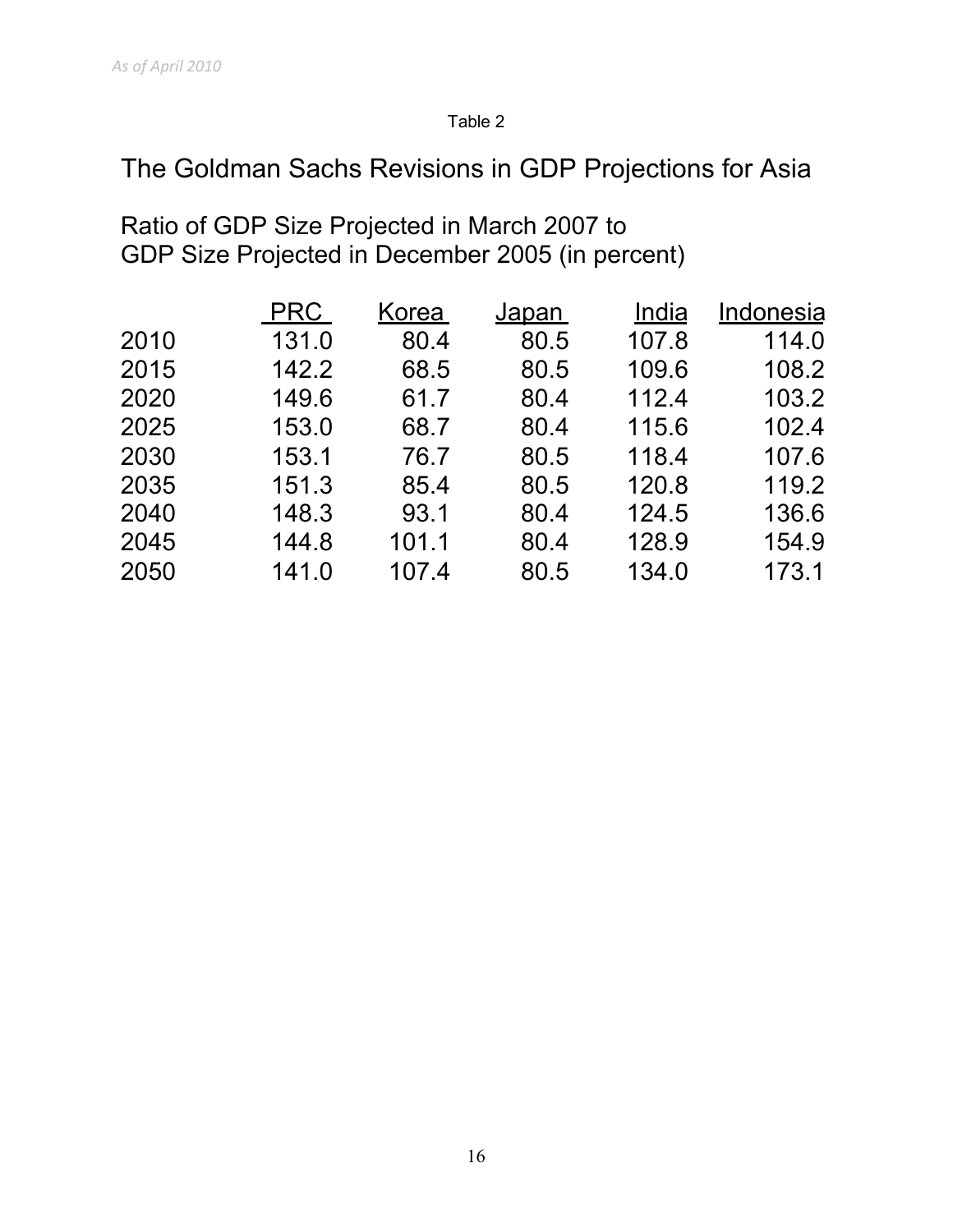# Table 2

The Goldman Sachs Revisions in GDP Projections for Asia

Ratio of GDP Size Projected in March 2007 to GDP Size Projected in December 2005 (in percent)

|      | <b>PRC</b> | Korea | <u>Japan</u> | India | Indonesia |
|------|------------|-------|--------------|-------|-----------|
| 2010 | 131.0      | 80.4  | 80.5         | 107.8 | 114.0     |
| 2015 | 142.2      | 68.5  | 80.5         | 109.6 | 108.2     |
| 2020 | 149.6      | 61.7  | 80.4         | 112.4 | 103.2     |
| 2025 | 153.0      | 68.7  | 80.4         | 115.6 | 102.4     |
| 2030 | 153.1      | 76.7  | 80.5         | 118.4 | 107.6     |
| 2035 | 151.3      | 85.4  | 80.5         | 120.8 | 119.2     |
| 2040 | 148.3      | 93.1  | 80.4         | 124.5 | 136.6     |
| 2045 | 144.8      | 101.1 | 80.4         | 128.9 | 154.9     |
| 2050 | 141.0      | 107.4 | 80.5         | 134.0 | 173.1     |